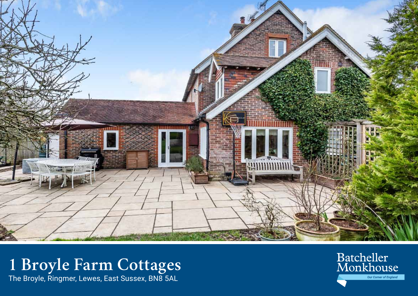

**1 Broyle Farm Cottages**  The Broyle, Ringmer, Lewes, East Sussex, BN8 5AL

Batcheller<br>Monkhouse **Our Corner of England**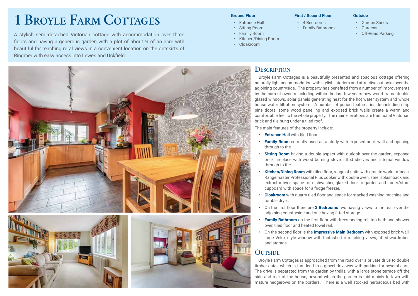# **1 Broyle Farm Cottages**

A stylish semi-detached Victorian cottage with accommodation over three **•** CF-Road Parking **• CF-Road Parking** floors and having a generous garden with a plot of about 14 of an acre with beautiful far reaching rural views in a convenient location on the outskirts of Ringmer with easy access into Lewes and Uckfield.

#### **Ground Floor**

- Entrance Hall
- **Sitting Room**
- Family Room
- Kitchen/Dining Room
- Cloakroom

#### **First / Second Floor**

• 4 Bedrooms • Family Bathroom

- Garden Sheds
	- Gardens

**Outside**



## **Description**

1 Broyle Farm Cottages is a beautifully presented and spacious cottage offering naturally light accommodation with stylish interiors and attractive outlooks over the adjoining countryside. The property has benefited from a number of improvements by the current owners including within the last few years new wood frame double glazed windows, solar panels generating heat for the hot water system and whole house water filtration system. A number of period features inside including strip pine doors, some wood panelling and exposed brick walls create a warm and comfortable feel to the whole property. The main elevations are traditional Victorian brick and tile hung under a tiled roof.

The main features of the property include:

- **Entrance Hall** with tiled floor.
- **Family Room** currently used as a study with exposed brick wall and opening through to the
- **Sitting Room** having a double aspect with outlook over the garden, exposed brick fireplace with wood burning stove, fitted shelves and internal window through to the
- **Kitchen/Dining Room** with tiled floor, range of units with granite worksurfaces, Rangemaster Professional Plus cooker with double oven, steel splashback and extractor over, space for dishwasher, glazed door to garden and larder/store cupboard with space for a fridge freezer.
- **• Cloakroom** with quarry tiled floor and space for stacked washing machine and tumble dryer.
- **•** On the first floor there are **3 Bedrooms** two having views to the rear over the adjoining countryside and one having fitted storage.
- **• Family Bathroom** on the first floor with freestanding roll top bath and shower over, tiled floor and heated towel rail.
- **•** On the second floor is the **Impressive Main Bedroom** with exposed brick wall, large Velux style window with fantastic far reaching views, fitted wardrobes and storage.

## **Outside**

1 Broyle Farm Cottages is approached from the road over a private drive to double timber gates which in turn lead to a gravel driveway with parking for several cars. The drive is separated from the garden by trellis, with a large stone terrace off the side and rear of the house, beyond which the garden is laid mainly to lawn with mature hedgerows on the borders. There is a well stocked herbaceous bed with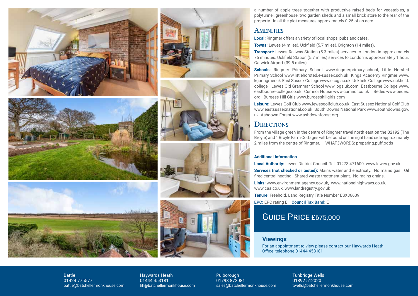













a number of apple trees together with productive raised beds for vegetables, a polytunnel, greenhouse, two garden sheds and a small brick store to the rear of the property. In all the plot measures approximately 0.25 of an acre.

### **AMENITIES**

**Local:** Ringmer offers a variety of local shops, pubs and cafes.

**Towns:** Lewes (4 miles), Uckfield (5.7 miles), Brighton (14 miles).

**Transport:** Lewes Railway Station (5.3 miles) services to London in approximately 75 minutes. Uckfield Station (5.7 miles) services to London is approximately 1 hour. Gatwick Airport (39.5 miles).

**Schools:** Ringmer Primary School www.ringmerprimary.school, Little Horsted Primary School www.littlehorsted.e-sussex.sch.uk Kings Academy Ringmer www. kgaringmer.uk East Sussex College www.escg.ac.uk Uckfield College www.uckfield. college Lewes Old Grammar School www.logs.uk.com Eastbourne College www. eastbourne-college.co.uk Cumnor House www.cumnor.co.uk Bedes www.bedes. org Burgess Hill Girls www.burgesshillgirls.com

**Leisure:** Lewes Golf Club www.lewesgolfclub.co.uk East Sussex National Golf Club www.eastsussexnational.co.uk South Downs National Park www.southdowns.gov. uk Ashdown Forest www.ashdownforest.org

## **DIRECTIONS**

From the village green in the centre of Ringmer travel north east on the B2192 (The Broyle) and 1 Broyle Farm Cottages will be found on the right hand side approximately 2 miles from the centre of Ringmer. WHAT3WORDS: preparing.puff.odds

#### **Additional Information**

**Local Authority:** Lewes District Council Tel: 01273 471600. www.lewes.gov.uk

**Services (not checked or tested):** Mains water and electricity. No mains gas. Oil fired central heating. Shared waste treatment plant. No mains drains.

**Links:** www.environment-agency.gov.uk, www.nationalhighways.co.uk, www.caa.co.uk, www.landregistry.gov.uk

**Tenure:** Freehold. Land Registry Title Number ESX36639

**EPC:** EPC rating E **Council Tax Band:** E

# Guide Price £675,000

#### **Viewings**

For an appointment to view please contact our Haywards Heath Office, telephone 01444 453181

Battle 01424 775577 battle@batchellermonkhouse.com Haywards Heath 01444 453181 hh@batchellermonkhouse.com Pulborough 01798 872081 sales@batchellermonkhouse.com

Tunbridge Wells 01892 512020 twells@batchellermonkhouse.com